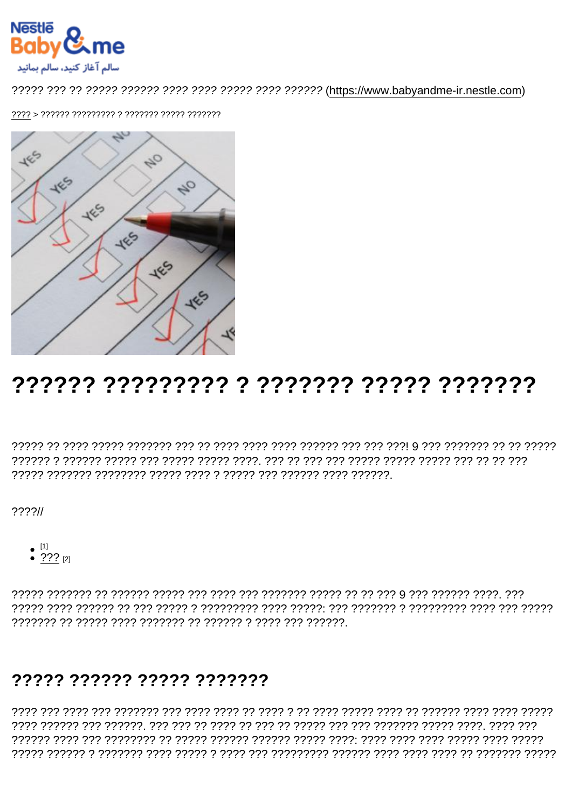# 777777 ????????? ? ?????? ????? ???????

 $777711$ 

•  $\overset{[1]}{\bullet}$  ???  $\overset{[2]}{\bullet}$ 

### 77777 777777 77777 7777777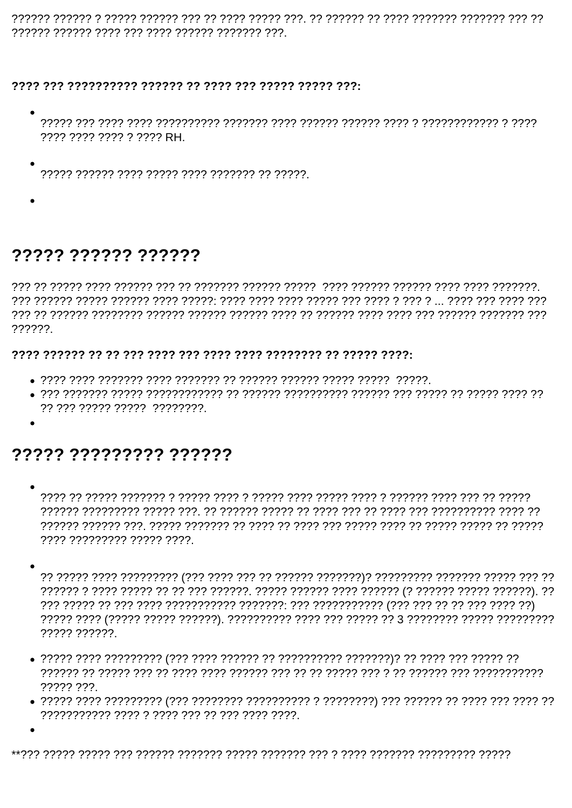רר ררר ררררררר רררוררר רררר ררך רר הררורר רר. ררר רררר ררור רר ררך ררר הררור ררורך ר ררורר ררוורר 

???? ???? ???? ? ???? RH.

 $\bullet$ 

# ????? ?????? ??????

ררך רוררורך רוררוך הרורך הין רורך רורך רורוך רך רורך רורור רורורן רורור הרורוך רורורור רורורך רן רור  $22222$ 

#### 

- 
- 77 777 77777 77777 77777777

## ????? ???????? ??????

- רְיִרְיָךְ רְיָ רְיִרְיָךָ רְיִרְיִךְ רְיָרְיָךְ רְיִרְיָךְ רְיִרְיָךְ רְיִרְיָרְ רְיִרְיֹךְ הְיִרְיֹךָ הְיִרְיָרָ רְיִרְיֹךָ הְיִרְיֹךָ בְּוֹלְיֹךָ הַ
- 77777 777777
- $????? ???$
-